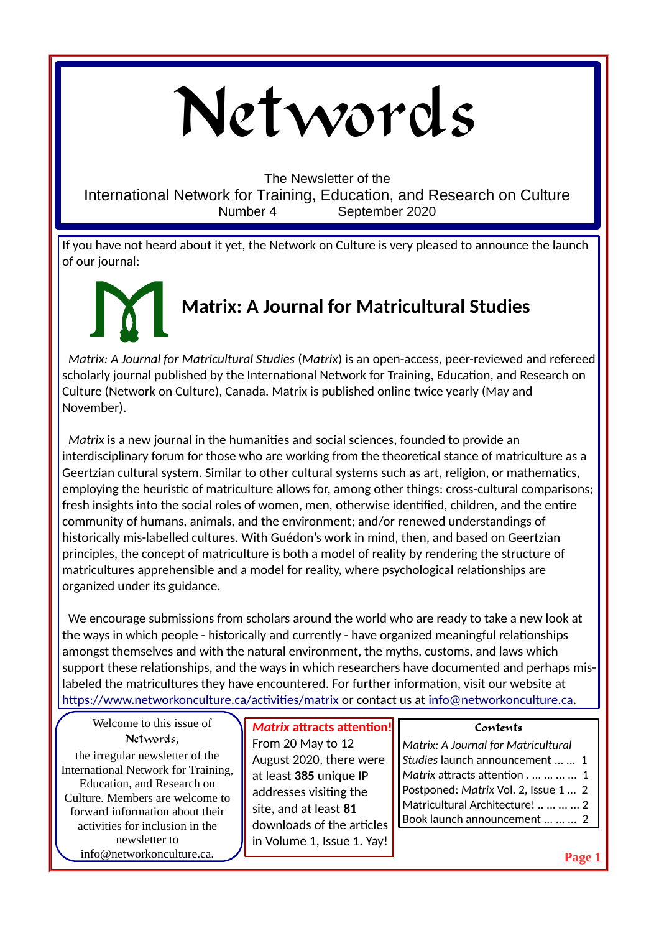# Networds

The Newsletter of the

International Network for Training, Education, and Research on Culture Number 4 September 2020

If you have not heard about it yet, the Network on Culture is very pleased to announce the launch of our journal:

## **Matrix: A Journal for Matricultural Studies** M

 *Matrix: A Journal for Matricultural Studies* (*Matrix*) is an open-access, peer-reviewed and refereed scholarly journal published by the International Network for Training, Education, and Research on Culture (Network on Culture), Canada. Matrix is published online twice yearly (May and November).

 *Matrix* is a new journal in the humanities and social sciences, founded to provide an interdisciplinary forum for those who are working from the theoretical stance of matriculture as a Geertzian cultural system. Similar to other cultural systems such as art, religion, or mathematics, employing the heuristic of matriculture allows for, among other things: cross-cultural comparisons; fresh insights into the social roles of women, men, otherwise identified, children, and the entire community of humans, animals, and the environment; and/or renewed understandings of historically mis-labelled cultures. With Guédon's work in mind, then, and based on Geertzian principles, the concept of matriculture is both a model of reality by rendering the structure of matricultures apprehensible and a model for reality, where psychological relationships are organized under its guidance.

 We encourage submissions from scholars around the world who are ready to take a new look at the ways in which people - historically and currently - have organized meaningful relationships amongst themselves and with the natural environment, the myths, customs, and laws which support these relationships, and the ways in which researchers have documented and perhaps mislabeled the matricultures they have encountered. For further information, visit our website at <https://www.networkonculture.ca/activities/matrix> or contact us at [info@networkonculture.ca](mailto:info@networkonculture.ca).

Welcome to this issue of Networds,

the irregular newsletter of the International Network for Training, Education, and Research on Culture. Members are welcome to forward information about their activities for inclusion in the newsletter to info@networkonculture.ca.

*Matrix* **attracts attention!** From 20 May to 12 August 2020, there were at least **385** unique IP addresses visiting the site, and at least **81** downloads of the articles in Volume 1, Issue 1. Yay!

#### **Contents**

*Matrix: A Journal for Matricultural Studies* launch announcement ... ... 1 *Matrix* attracts attention . ... ... ... ... 1 Postponed: *Matrix* Vol. 2, Issue 1 ... 2 Matricultural Architecture! .. ... ... ... 2 Book launch announcement ... ... ... 2

**Page 1**